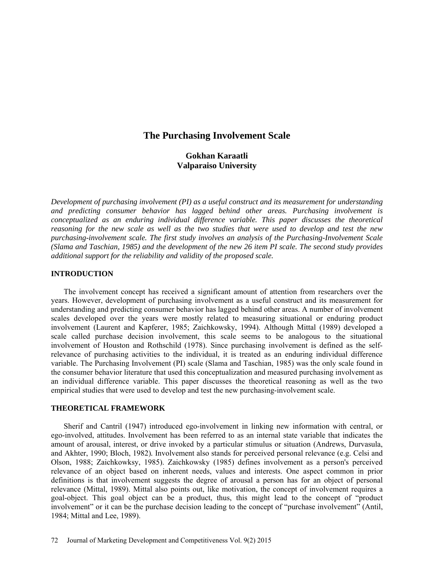# **The Purchasing Involvement Scale**

# **Gokhan Karaatli Valparaiso University**

*Development of purchasing involvement (PI) as a useful construct and its measurement for understanding and predicting consumer behavior has lagged behind other areas. Purchasing involvement is conceptualized as an enduring individual difference variable. This paper discusses the theoretical reasoning for the new scale as well as the two studies that were used to develop and test the new purchasing-involvement scale. The first study involves an analysis of the Purchasing-Involvement Scale (Slama and Taschian, 1985) and the development of the new 26 item PI scale. The second study provides additional support for the reliability and validity of the proposed scale.* 

## **INTRODUCTION**

The involvement concept has received a significant amount of attention from researchers over the years. However, development of purchasing involvement as a useful construct and its measurement for understanding and predicting consumer behavior has lagged behind other areas. A number of involvement scales developed over the years were mostly related to measuring situational or enduring product involvement (Laurent and Kapferer, 1985; Zaichkowsky, 1994). Although Mittal (1989) developed a scale called purchase decision involvement, this scale seems to be analogous to the situational involvement of Houston and Rothschild (1978). Since purchasing involvement is defined as the selfrelevance of purchasing activities to the individual, it is treated as an enduring individual difference variable. The Purchasing Involvement (PI) scale (Slama and Taschian, 1985) was the only scale found in the consumer behavior literature that used this conceptualization and measured purchasing involvement as an individual difference variable. This paper discusses the theoretical reasoning as well as the two empirical studies that were used to develop and test the new purchasing-involvement scale.

### **THEORETICAL FRAMEWORK**

Sherif and Cantril (1947) introduced ego-involvement in linking new information with central, or ego-involved, attitudes. Involvement has been referred to as an internal state variable that indicates the amount of arousal, interest, or drive invoked by a particular stimulus or situation (Andrews, Durvasula, and Akhter, 1990; Bloch, 1982)*.* Involvement also stands for perceived personal relevance (e.g. Celsi and Olson, 1988; Zaichkowksy, 1985). Zaichkowsky (1985) defines involvement as a person's perceived relevance of an object based on inherent needs, values and interests. One aspect common in prior definitions is that involvement suggests the degree of arousal a person has for an object of personal relevance (Mittal, 1989). Mittal also points out, like motivation, the concept of involvement requires a goal-object. This goal object can be a product, thus, this might lead to the concept of "product involvement" or it can be the purchase decision leading to the concept of "purchase involvement" (Antil, 1984; Mittal and Lee, 1989).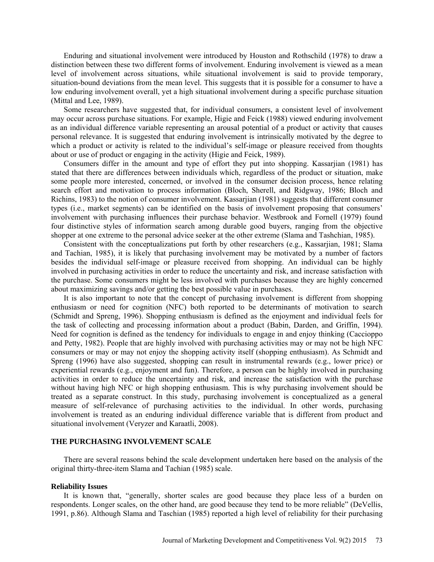Enduring and situational involvement were introduced by Houston and Rothschild (1978) to draw a distinction between these two different forms of involvement. Enduring involvement is viewed as a mean level of involvement across situations, while situational involvement is said to provide temporary, situation-bound deviations from the mean level. This suggests that it is possible for a consumer to have a low enduring involvement overall, yet a high situational involvement during a specific purchase situation (Mittal and Lee, 1989).

Some researchers have suggested that, for individual consumers, a consistent level of involvement may occur across purchase situations. For example, Higie and Feick (1988) viewed enduring involvement as an individual difference variable representing an arousal potential of a product or activity that causes personal relevance. It is suggested that enduring involvement is intrinsically motivated by the degree to which a product or activity is related to the individual's self-image or pleasure received from thoughts about or use of product or engaging in the activity (Higie and Feick, 1989).

Consumers differ in the amount and type of effort they put into shopping. Kassarjian (1981) has stated that there are differences between individuals which, regardless of the product or situation, make some people more interested, concerned, or involved in the consumer decision process, hence relating search effort and motivation to process information (Bloch, Sherell, and Ridgway, 1986; Bloch and Richins, 1983) to the notion of consumer involvement. Kassarjian (1981) suggests that different consumer types (i.e., market segments) can be identified on the basis of involvement proposing that consumers' involvement with purchasing influences their purchase behavior. Westbrook and Fornell (1979) found four distinctive styles of information search among durable good buyers, ranging from the objective shopper at one extreme to the personal advice seeker at the other extreme (Slama and Tashchian, 1985).

Consistent with the conceptualizations put forth by other researchers (e.g., Kassarjian, 1981; Slama and Tachian, 1985), it is likely that purchasing involvement may be motivated by a number of factors besides the individual self-image or pleasure received from shopping. An individual can be highly involved in purchasing activities in order to reduce the uncertainty and risk, and increase satisfaction with the purchase. Some consumers might be less involved with purchases because they are highly concerned about maximizing savings and/or getting the best possible value in purchases.

It is also important to note that the concept of purchasing involvement is different from shopping enthusiasm or need for cognition (NFC) both reported to be determinants of motivation to search (Schmidt and Spreng, 1996). Shopping enthusiasm is defined as the enjoyment and individual feels for the task of collecting and processing information about a product (Babin, Darden, and Griffin, 1994). Need for cognition is defined as the tendency for individuals to engage in and enjoy thinking (Caccioppo and Petty, 1982). People that are highly involved with purchasing activities may or may not be high NFC consumers or may or may not enjoy the shopping activity itself (shopping enthusiasm). As Schmidt and Spreng (1996) have also suggested, shopping can result in instrumental rewards (e.g., lower price) or experiential rewards (e.g., enjoyment and fun). Therefore, a person can be highly involved in purchasing activities in order to reduce the uncertainty and risk, and increase the satisfaction with the purchase without having high NFC or high shopping enthusiasm. This is why purchasing involvement should be treated as a separate construct. In this study, purchasing involvement is conceptualized as a general measure of self-relevance of purchasing activities to the individual. In other words, purchasing involvement is treated as an enduring individual difference variable that is different from product and situational involvement (Veryzer and Karaatli, 2008).

# **THE PURCHASING INVOLVEMENT SCALE**

There are several reasons behind the scale development undertaken here based on the analysis of the original thirty-three-item Slama and Tachian (1985) scale.

#### **Reliability Issues**

It is known that, "generally, shorter scales are good because they place less of a burden on respondents. Longer scales, on the other hand, are good because they tend to be more reliable" (DeVellis, 1991, p.86). Although Slama and Taschian (1985) reported a high level of reliability for their purchasing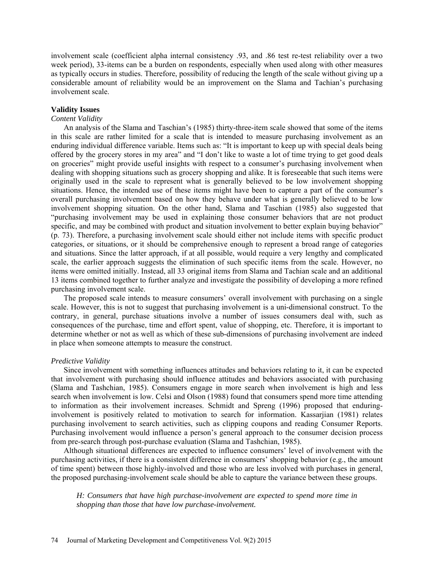involvement scale (coefficient alpha internal consistency .93, and .86 test re-test reliability over a two week period), 33-items can be a burden on respondents, especially when used along with other measures as typically occurs in studies. Therefore, possibility of reducing the length of the scale without giving up a considerable amount of reliability would be an improvement on the Slama and Tachian's purchasing involvement scale.

## **Validity Issues**

### *Content Validity*

An analysis of the Slama and Taschian's (1985) thirty-three-item scale showed that some of the items in this scale are rather limited for a scale that is intended to measure purchasing involvement as an enduring individual difference variable. Items such as: "It is important to keep up with special deals being offered by the grocery stores in my area" and "I don't like to waste a lot of time trying to get good deals on groceries" might provide useful insights with respect to a consumer's purchasing involvement when dealing with shopping situations such as grocery shopping and alike. It is foreseeable that such items were originally used in the scale to represent what is generally believed to be low involvement shopping situations. Hence, the intended use of these items might have been to capture a part of the consumer's overall purchasing involvement based on how they behave under what is generally believed to be low involvement shopping situation. On the other hand, Slama and Taschian (1985) also suggested that "purchasing involvement may be used in explaining those consumer behaviors that are not product specific, and may be combined with product and situation involvement to better explain buying behavior" (p. 73). Therefore, a purchasing involvement scale should either not include items with specific product categories, or situations, or it should be comprehensive enough to represent a broad range of categories and situations. Since the latter approach, if at all possible, would require a very lengthy and complicated scale, the earlier approach suggests the elimination of such specific items from the scale. However, no items were omitted initially. Instead, all 33 original items from Slama and Tachian scale and an additional 13 items combined together to further analyze and investigate the possibility of developing a more refined purchasing involvement scale.

The proposed scale intends to measure consumers' overall involvement with purchasing on a single scale. However, this is not to suggest that purchasing involvement is a uni-dimensional construct. To the contrary, in general, purchase situations involve a number of issues consumers deal with, such as consequences of the purchase, time and effort spent, value of shopping, etc. Therefore, it is important to determine whether or not as well as which of these sub-dimensions of purchasing involvement are indeed in place when someone attempts to measure the construct.

#### *Predictive Validity*

Since involvement with something influences attitudes and behaviors relating to it, it can be expected that involvement with purchasing should influence attitudes and behaviors associated with purchasing (Slama and Tashchian, 1985). Consumers engage in more search when involvement is high and less search when involvement is low. Celsi and Olson (1988) found that consumers spend more time attending to information as their involvement increases. Schmidt and Spreng (1996) proposed that enduringinvolvement is positively related to motivation to search for information. Kassarjian (1981) relates purchasing involvement to search activities, such as clipping coupons and reading Consumer Reports. Purchasing involvement would influence a person's general approach to the consumer decision process from pre-search through post-purchase evaluation (Slama and Tashchian, 1985).

Although situational differences are expected to influence consumers' level of involvement with the purchasing activities, if there is a consistent difference in consumers' shopping behavior (e.g., the amount of time spent) between those highly-involved and those who are less involved with purchases in general, the proposed purchasing-involvement scale should be able to capture the variance between these groups.

*H: Consumers that have high purchase-involvement are expected to spend more time in shopping than those that have low purchase-involvement.*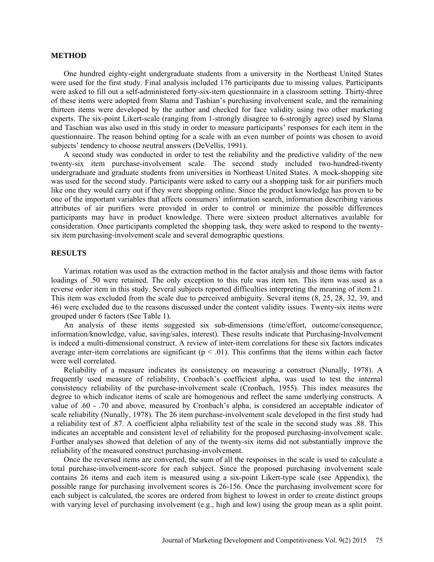### **METHOD**

One hundred eighty-eight undergraduate students from a university in the Northeast United States were used for the first study. Final analysis included 176 participants due to missing values. Participants were asked to fill out a self-administered forty-six-item questionnaire in a classroom setting. Thirty-three of these items were adopted from Slama and Tashian's purchasing involvement scale, and the remaining thirteen items were developed by the author and checked for face validity using two other marketing experts. The six-point Likert-scale (ranging from 1-strongly disagree to 6-strongly agree) used by Slama and Taschian was also used in this study in order to measure participants' responses for each item in the questionnaire. The reason behind opting for a scale with an even number of points was chosen to avoid subjects' tendency to choose neutral answers (DeVellis, 1991).

A second study was conducted in order to test the reliability and the predictive validity of the new twenty-six item purchase-involvement scale. The second study included two-hundred-twenty undergraduate and graduate students from universities in Northeast United States. A mock-shopping site was used for the second study. Participants were asked to carry out a shopping task for air purifiers much like one they would carry out if they were shopping online. Since the product knowledge has proven to be one of the important variables that affects consumers' information search, information describing various attributes of air purifiers were provided in order to control or minimize the possible differences participants may have in product knowledge. There were sixteen product alternatives available for consideration. Once participants completed the shopping task, they were asked to respond to the twentysix item purchasing-involvement scale and several demographic questions.

## **RESULTS**

Varimax rotation was used as the extraction method in the factor analysis and those items with factor loadings of .50 were retained. The only exception to this rule was item ten. This item was used as a reverse order item in this study. Several subjects reported difficulties interpreting the meaning of item 21. This item was excluded from the scale due to perceived ambiguity. Several items (8, 25, 28, 32, 39, and 46) were excluded due to the reasons discussed under the content validity issues. Twenty-six items were grouped under 6 factors (See Table 1).

An analysis of these items suggested six sub-dimensions (time/effort, outcome/consequence, information/knowledge, value, saving/sales, interest). These results indicate that Purchasing-Involvement is indeed a multi-dimensional construct. A review of inter-item correlations for these six factors indicates average inter-item correlations are significant ( $p < .01$ ). This confirms that the items within each factor were well correlated.

Reliability of a measure indicates its consistency on measuring a construct (Nunally, 1978). A frequently used measure of reliability, Cronbach's coefficient alpha, was used to test the internal consistency reliability of the purchase-involvement scale (Cronbach, 1955). This index measures the degree to which indicator items of scale are homogenous and reflect the same underlying constructs*.* A value of .60 - .70 and above, measured by Cronbach's alpha, is considered an acceptable indicator of scale reliability (Nunally, 1978). The 26 item purchase-involvement scale developed in the first study had a reliability test of .87. A coefficient alpha reliability test of the scale in the second study was .88. This indicates an acceptable and consistent level of reliability for the proposed purchasing-involvement scale. Further analyses showed that deletion of any of the twenty-six items did not substantially improve the reliability of the measured construct purchasing-involvement.

Once the reversed items are converted, the sum of all the responses in the scale is used to calculate a total purchase-involvement-score for each subject. Since the proposed purchasing involvement scale contains 26 items and each item is measured using a six-point Likert-type scale (see Appendix), the possible range for purchasing involvement scores is 26-156. Once the purchasing involvement score for each subject is calculated, the scores are ordered from highest to lowest in order to create distinct groups with varying level of purchasing involvement (e.g., high and low) using the group mean as a split point.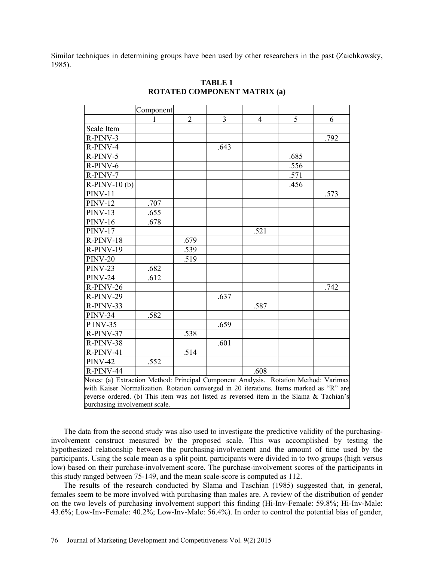Similar techniques in determining groups have been used by other researchers in the past (Zaichkowsky, 1985).

|                                                                                         | Component |                |                |                |      |      |  |  |
|-----------------------------------------------------------------------------------------|-----------|----------------|----------------|----------------|------|------|--|--|
|                                                                                         |           | $\overline{2}$ | $\overline{3}$ | $\overline{4}$ | 5    | 6    |  |  |
| Scale Item                                                                              |           |                |                |                |      |      |  |  |
| R-PINV-3                                                                                |           |                |                |                |      | .792 |  |  |
| R-PINV-4                                                                                |           |                | .643           |                |      |      |  |  |
| R-PINV-5                                                                                |           |                |                |                | .685 |      |  |  |
| R-PINV-6                                                                                |           |                |                |                | .556 |      |  |  |
| R-PINV-7                                                                                |           |                |                |                | .571 |      |  |  |
| $R-PINV-10(b)$                                                                          |           |                |                |                | .456 |      |  |  |
| <b>PINV-11</b>                                                                          |           |                |                |                |      | .573 |  |  |
| <b>PINV-12</b>                                                                          | .707      |                |                |                |      |      |  |  |
| <b>PINV-13</b>                                                                          | .655      |                |                |                |      |      |  |  |
| <b>PINV-16</b>                                                                          | .678      |                |                |                |      |      |  |  |
| <b>PINV-17</b>                                                                          |           |                |                | .521           |      |      |  |  |
| $R-PINV-18$                                                                             |           | .679           |                |                |      |      |  |  |
| R-PINV-19                                                                               |           | .539           |                |                |      |      |  |  |
| <b>PINV-20</b>                                                                          |           | .519           |                |                |      |      |  |  |
| <b>PINV-23</b>                                                                          | .682      |                |                |                |      |      |  |  |
| <b>PINV-24</b>                                                                          | .612      |                |                |                |      |      |  |  |
| R-PINV-26                                                                               |           |                |                |                |      | .742 |  |  |
| R-PINV-29                                                                               |           |                | .637           |                |      |      |  |  |
| R-PINV-33                                                                               |           |                |                | .587           |      |      |  |  |
| <b>PINV-34</b>                                                                          | .582      |                |                |                |      |      |  |  |
| P INV-35                                                                                |           |                | .659           |                |      |      |  |  |
| R-PINV-37                                                                               |           | .538           |                |                |      |      |  |  |
| R-PINV-38                                                                               |           |                | .601           |                |      |      |  |  |
| R-PINV-41                                                                               |           | .514           |                |                |      |      |  |  |
| <b>PINV-42</b>                                                                          | .552      |                |                |                |      |      |  |  |
| R-PINV-44                                                                               |           |                |                | .608           |      |      |  |  |
| Notes: (a) Extraction Method: Principal Component Analysis. Rotation Method: Varimax    |           |                |                |                |      |      |  |  |
| with Kaiser Normalization. Rotation converged in 20 iterations. Items marked as "R" are |           |                |                |                |      |      |  |  |
| reverse ordered. (b) This item was not listed as reversed item in the Slama & Tachian's |           |                |                |                |      |      |  |  |
| purchasing involvement scale.                                                           |           |                |                |                |      |      |  |  |

# **TABLE 1 ROTATED COMPONENT MATRIX (a)**

The data from the second study was also used to investigate the predictive validity of the purchasinginvolvement construct measured by the proposed scale. This was accomplished by testing the hypothesized relationship between the purchasing-involvement and the amount of time used by the participants. Using the scale mean as a split point, participants were divided in to two groups (high versus low) based on their purchase-involvement score. The purchase-involvement scores of the participants in this study ranged between 75-149, and the mean scale-score is computed as 112.

The results of the research conducted by Slama and Taschian (1985) suggested that, in general, females seem to be more involved with purchasing than males are. A review of the distribution of gender on the two levels of purchasing involvement support this finding (Hi-Inv-Female: 59.8%; Hi-Inv-Male: 43.6%; Low-Inv-Female: 40.2%; Low-Inv-Male: 56.4%). In order to control the potential bias of gender,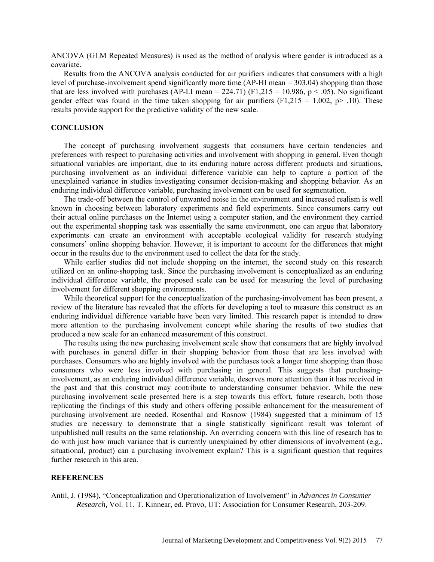ANCOVA (GLM Repeated Measures) is used as the method of analysis where gender is introduced as a covariate.

Results from the ANCOVA analysis conducted for air purifiers indicates that consumers with a high level of purchase-involvement spend significantly more time (AP-HI mean = 303.04) shopping than those that are less involved with purchases (AP-LI mean = 224.71) (F1,215 = 10.986, p < .05). No significant gender effect was found in the time taken shopping for air purifiers  $(F1,215 = 1.002, p > .10)$ . These results provide support for the predictive validity of the new scale.

### **CONCLUSION**

The concept of purchasing involvement suggests that consumers have certain tendencies and preferences with respect to purchasing activities and involvement with shopping in general. Even though situational variables are important, due to its enduring nature across different products and situations, purchasing involvement as an individual difference variable can help to capture a portion of the unexplained variance in studies investigating consumer decision-making and shopping behavior. As an enduring individual difference variable, purchasing involvement can be used for segmentation.

The trade-off between the control of unwanted noise in the environment and increased realism is well known in choosing between laboratory experiments and field experiments. Since consumers carry out their actual online purchases on the Internet using a computer station, and the environment they carried out the experimental shopping task was essentially the same environment, one can argue that laboratory experiments can create an environment with acceptable ecological validity for research studying consumers' online shopping behavior. However, it is important to account for the differences that might occur in the results due to the environment used to collect the data for the study.

While earlier studies did not include shopping on the internet, the second study on this research utilized on an online-shopping task. Since the purchasing involvement is conceptualized as an enduring individual difference variable, the proposed scale can be used for measuring the level of purchasing involvement for different shopping environments.

While theoretical support for the conceptualization of the purchasing-involvement has been present, a review of the literature has revealed that the efforts for developing a tool to measure this construct as an enduring individual difference variable have been very limited. This research paper is intended to draw more attention to the purchasing involvement concept while sharing the results of two studies that produced a new scale for an enhanced measurement of this construct.

The results using the new purchasing involvement scale show that consumers that are highly involved with purchases in general differ in their shopping behavior from those that are less involved with purchases. Consumers who are highly involved with the purchases took a longer time shopping than those consumers who were less involved with purchasing in general. This suggests that purchasinginvolvement, as an enduring individual difference variable, deserves more attention than it has received in the past and that this construct may contribute to understanding consumer behavior. While the new purchasing involvement scale presented here is a step towards this effort, future research, both those replicating the findings of this study and others offering possible enhancement for the measurement of purchasing involvement are needed. Rosenthal and Rosnow (1984) suggested that a minimum of 15 studies are necessary to demonstrate that a single statistically significant result was tolerant of unpublished null results on the same relationship. An overriding concern with this line of research has to do with just how much variance that is currently unexplained by other dimensions of involvement (e.g., situational, product) can a purchasing involvement explain? This is a significant question that requires further research in this area.

### **REFERENCES**

Antil, J. (1984), "Conceptualization and Operationalization of Involvement" in *Advances in Consumer Research,* Vol. 11, T. Kinnear, ed. Provo, UT: Association for Consumer Research, 203-209.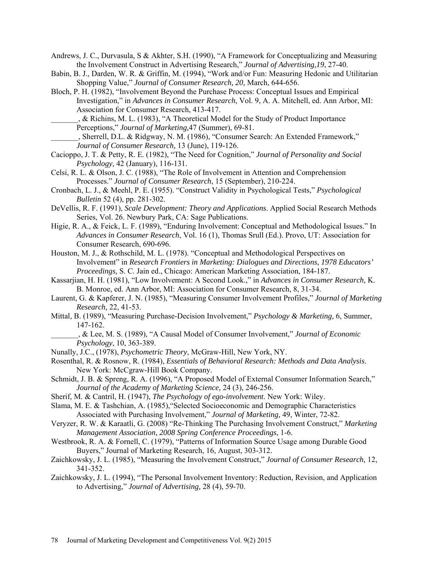Andrews, J. C., Durvasula, S & Akhter, S.H. (1990), "A Framework for Conceptualizing and Measuring the Involvement Construct in Advertising Research," *Journal of Advertising,19*, 27-40.

- Babin, B. J., Darden, W. R. & Griffin, M. (1994), "Work and/or Fun: Measuring Hedonic and Utilitarian Shopping Value," *Journal of Consumer Research, 20,* March, 644-656.
- Bloch, P. H. (1982), "Involvement Beyond the Purchase Process: Conceptual Issues and Empirical Investigation," in *Advances in Consumer Research*, Vol. 9, A. A. Mitchell, ed. Ann Arbor, MI: Association for Consumer Research, 413-417.

\_\_\_\_\_\_\_, & Richins, M. L. (1983), "A Theoretical Model for the Study of Product Importance Perceptions," *Journal of Marketing,*47 (Summer), 69-81.

\_\_\_\_\_\_\_, Sherrell, D.L. & Ridgway, N. M. (1986), "Consumer Search: An Extended Framework," *Journal of Consumer Research,* 13 (June), 119-126.

- Cacioppo, J. T. & Petty, R. E. (1982), "The Need for Cognition," *Journal of Personality and Social Psychology,* 42 (January), 116-131.
- Celsi, R. L. & Olson, J. C. (1988), "The Role of Involvement in Attention and Comprehension Processes." *Journal of Consumer Research*, 15 (September), 210-224.
- Cronbach, L. J., & Meehl, P. E. (1955). "Construct Validity in Psychological Tests," *Psychological Bulletin* 52 (4), pp. 281-302.
- DeVellis, R. F. (1991), *Scale Development: Theory and Applications*. Applied Social Research Methods Series, Vol. 26. Newbury Park, CA: Sage Publications.
- Higie, R. A., & Feick, L. F. (1989), "Enduring Involvement: Conceptual and Methodological Issues." In *Advances in Consumer Research*, Vol. 16 (1), Thomas Srull (Ed.). Provo, UT: Association for Consumer Research, 690-696.
- Houston, M. J., & Rothschild, M. L. (1978). "Conceptual and Methodological Perspectives on Involvement" in *Research Frontiers in Marketing: Dialogues and Directions, 1978 Educators' Proceedings,* S. C. Jain ed., Chicago: American Marketing Association, 184-187.
- Kassarjian, H. H. (1981), "Low Involvement: A Second Look.," in *Advances in Consumer Research,* K. B. Monroe, ed. Ann Arbor, MI: Association for Consumer Research, 8, 31-34.
- Laurent, G. & Kapferer, J. N. (1985), "Measuring Consumer Involvement Profiles," *Journal of Marketing Research,* 22, 41-53.
- Mittal, B. (1989), "Measuring Purchase-Decision Involvement," *Psychology & Marketing,* 6, Summer, 147-162.
	- \_\_\_\_\_\_\_, & Lee, M. S. (1989), "A Causal Model of Consumer Involvement," *Journal of Economic Psychology*, 10, 363-389.
- Nunally, J.C., (1978), *Psychometric Theory*, McGraw-Hill, New York, NY.
- Rosenthal, R. & Rosnow, R. (1984), *Essentials of Behavioral Research: Methods and Data Analysis*. New York: McCgraw-Hill Book Company.
- Schmidt, J. B. & Spreng, R. A. (1996), "A Proposed Model of External Consumer Information Search," *Journal of the Academy of Marketing Science,* 24 (3), 246-256.
- Sherif, M. & Cantril, H. (1947), *The Psychology of ego-involvement*. New York: Wiley.
- Slama, M. E. & Tashchian, A. (1985),"Selected Socioeconomic and Demographic Characteristics Associated with Purchasing Involvement," *Journal of Marketing,* 49, Winter, 72-82.
- Veryzer, R. W. & Karaatli, G. (2008) "Re-Thinking The Purchasing Involvement Construct," *Marketing Management Association, 2008 Spring Conference Proceedings*, 1-6.
- Westbrook, R. A. & Fornell, C. (1979), "Patterns of Information Source Usage among Durable Good Buyers," Journal of Marketing Research, 16, August, 303-312.
- Zaichkowsky, J. L. (1985), "Measuring the Involvement Construct," *Journal of Consumer Research,* 12, 341-352.
- Zaichkowsky, J. L. (1994), "The Personal Involvement Inventory: Reduction, Revision, and Application to Advertising," *Journal of Advertising,* 28 (4), 59-70.